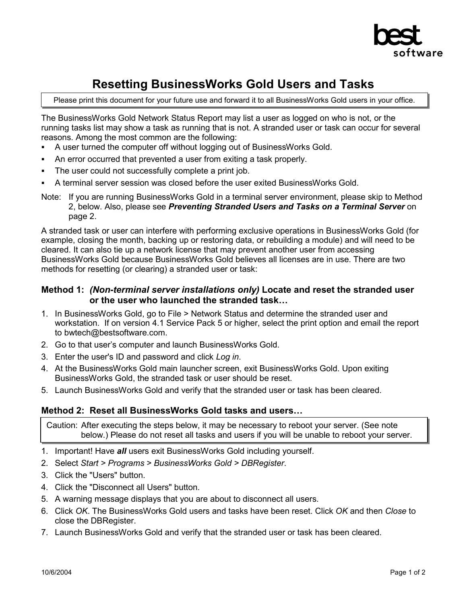

# **Resetting BusinessWorks Gold Users and Tasks**

Please print this document for your future use and forward it to all BusinessWorks Gold users in your office.

The BusinessWorks Gold Network Status Report may list a user as logged on who is not, or the running tasks list may show a task as running that is not. A stranded user or task can occur for several reasons. Among the most common are the following:

- ! A user turned the computer off without logging out of BusinessWorks Gold.
- ! An error occurred that prevented a user from exiting a task properly.
- The user could not successfully complete a print job.
- ! A terminal server session was closed before the user exited BusinessWorks Gold.
- Note: If you are running BusinessWorks Gold in a terminal server environment, please skip to Method 2, below. Also, please see *Preventing Stranded Users and Tasks on a Terminal Server* on page 2.

A stranded task or user can interfere with performing exclusive operations in BusinessWorks Gold (for example, closing the month, backing up or restoring data, or rebuilding a module) and will need to be cleared. It can also tie up a network license that may prevent another user from accessing BusinessWorks Gold because BusinessWorks Gold believes all licenses are in use. There are two methods for resetting (or clearing) a stranded user or task:

### **Method 1:** *(Non-terminal server installations only)* **Locate and reset the stranded user or the user who launched the stranded task...**

- 1. In BusinessWorks Gold, go to File > Network Status and determine the stranded user and workstation. If on version 4.1 Service Pack 5 or higher, select the print option and email the report to bwtech@bestsoftware.com.
- 2. Go to that user's computer and launch Business Works Gold.
- 3. Enter the user's ID and password and click *Log in*.
- 4. At the BusinessWorks Gold main launcher screen, exit BusinessWorks Gold. Upon exiting BusinessWorks Gold, the stranded task or user should be reset.
- 5. Launch BusinessWorks Gold and verify that the stranded user or task has been cleared.

### **Method 2: Reset all BusinessWorks Gold tasks and users...**

Caution: After executing the steps below, it may be necessary to reboot your server. (See note below.) Please do not reset all tasks and users if you will be unable to reboot your server.

- 1. Important! Have *all* users exit BusinessWorks Gold including yourself.
- 2. Select *Start > Programs > BusinessWorks Gold > DBRegister*.
- 3. Click the "Users" button.
- 4. Click the "Disconnect all Users" button.
- 5. A warning message displays that you are about to disconnect all users.
- 6. Click *OK*. The BusinessWorks Gold users and tasks have been reset. Click *OK* and then *Close* to close the DBRegister.
- 7. Launch BusinessWorks Gold and verify that the stranded user or task has been cleared.